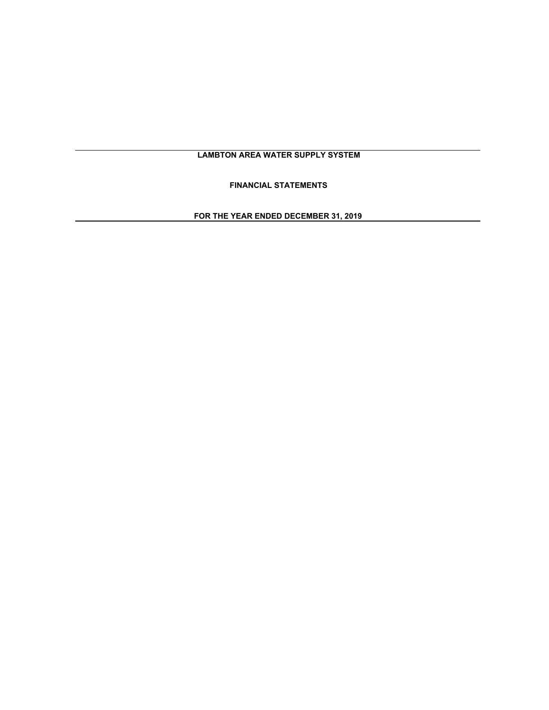# **LAMBTON AREA WATER SUPPLY SYSTEM**

**FINANCIAL STATEMENTS**

**FOR THE YEAR ENDED DECEMBER 31, 2019**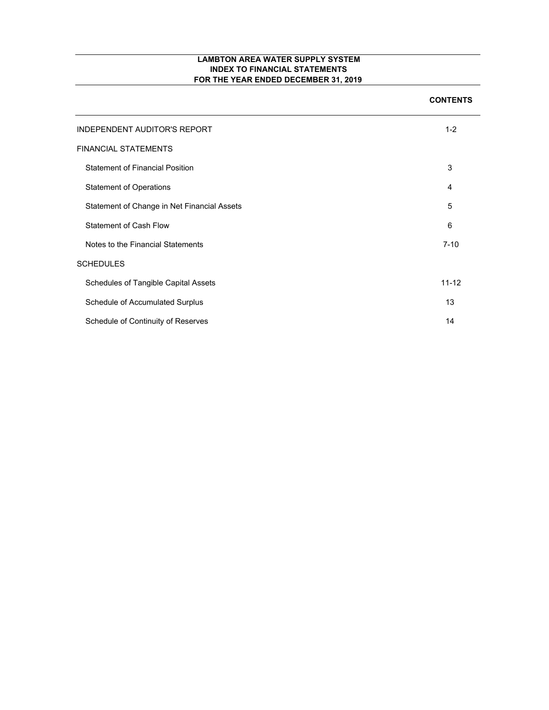#### **LAMBTON AREA WATER SUPPLY SYSTEM INDEX TO FINANCIAL STATEMENTS FOR THE YEAR ENDED DECEMBER 31, 2019**

| <b>INDEPENDENT AUDITOR'S REPORT</b>         | $1 - 2$   |
|---------------------------------------------|-----------|
| <b>FINANCIAL STATEMENTS</b>                 |           |
| <b>Statement of Financial Position</b>      | 3         |
| <b>Statement of Operations</b>              | 4         |
| Statement of Change in Net Financial Assets | 5         |
| <b>Statement of Cash Flow</b>               | 6         |
| Notes to the Financial Statements           | $7 - 10$  |
| <b>SCHEDULES</b>                            |           |
| Schedules of Tangible Capital Assets        | $11 - 12$ |
| Schedule of Accumulated Surplus             | 13        |
| Schedule of Continuity of Reserves          | 14        |

#### **CONTENTS**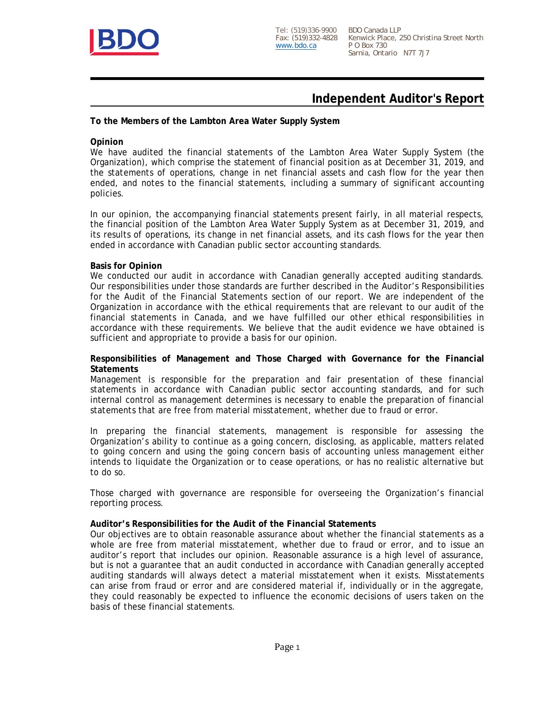

# **Independent Auditor's Report**

**To the Members of the Lambton Area Water Supply System**

#### **Opinion**

We have audited the financial statements of the Lambton Area Water Supply System (the Organization), which comprise the statement of financial position as at December 31, 2019, and the statements of operations, change in net financial assets and cash flow for the year then ended, and notes to the financial statements, including a summary of significant accounting policies.

In our opinion, the accompanying financial statements present fairly, in all material respects, the financial position of the Lambton Area Water Supply System as at December 31, 2019, and its results of operations, its change in net financial assets, and its cash flows for the year then ended in accordance with Canadian public sector accounting standards.

#### **Basis for Opinion**

We conducted our audit in accordance with Canadian generally accepted auditing standards. Our responsibilities under those standards are further described in the Auditor's Responsibilities for the Audit of the Financial Statements section of our report. We are independent of the Organization in accordance with the ethical requirements that are relevant to our audit of the financial statements in Canada, and we have fulfilled our other ethical responsibilities in accordance with these requirements. We believe that the audit evidence we have obtained is sufficient and appropriate to provide a basis for our opinion.

**Responsibilities of Management and Those Charged with Governance for the Financial Statements**

Management is responsible for the preparation and fair presentation of these financial statements in accordance with Canadian public sector accounting standards, and for such internal control as management determines is necessary to enable the preparation of financial statements that are free from material misstatement, whether due to fraud or error.

In preparing the financial statements, management is responsible for assessing the Organization's ability to continue as a going concern, disclosing, as applicable, matters related to going concern and using the going concern basis of accounting unless management either intends to liquidate the Organization or to cease operations, or has no realistic alternative but to do so.

Those charged with governance are responsible for overseeing the Organization's financial reporting process.

**Auditor's Responsibilities for the Audit of the Financial Statements**

Our objectives are to obtain reasonable assurance about whether the financial statements as a whole are free from material misstatement, whether due to fraud or error, and to issue an auditor's report that includes our opinion. Reasonable assurance is a high level of assurance, but is not a guarantee that an audit conducted in accordance with Canadian generally accepted auditing standards will always detect a material misstatement when it exists. Misstatements can arise from fraud or error and are considered material if, individually or in the aggregate, they could reasonably be expected to influence the economic decisions of users taken on the basis of these financial statements.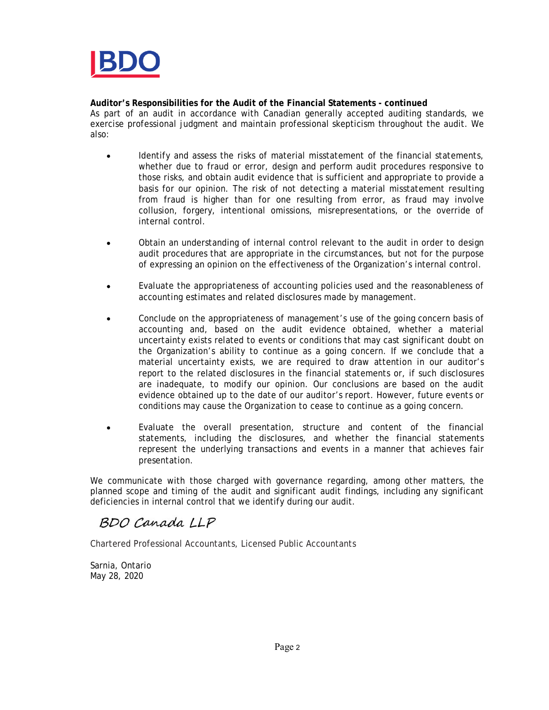

#### **Auditor's Responsibilities for the Audit of the Financial Statements - continued**

As part of an audit in accordance with Canadian generally accepted auditing standards, we exercise professional judgment and maintain professional skepticism throughout the audit. We also:

- Identify and assess the risks of material misstatement of the financial statements, whether due to fraud or error, design and perform audit procedures responsive to those risks, and obtain audit evidence that is sufficient and appropriate to provide a basis for our opinion. The risk of not detecting a material misstatement resulting from fraud is higher than for one resulting from error, as fraud may involve collusion, forgery, intentional omissions, misrepresentations, or the override of internal control.
- Obtain an understanding of internal control relevant to the audit in order to design  $\bullet$ audit procedures that are appropriate in the circumstances, but not for the purpose of expressing an opinion on the effectiveness of the Organization's internal control.
- Evaluate the appropriateness of accounting policies used and the reasonableness of accounting estimates and related disclosures made by management.
- Conclude on the appropriateness of management's use of the going concern basis of  $\bullet$ accounting and, based on the audit evidence obtained, whether a material uncertainty exists related to events or conditions that may cast significant doubt on the Organization's ability to continue as a going concern. If we conclude that a material uncertainty exists, we are required to draw attention in our auditor's report to the related disclosures in the financial statements or, if such disclosures are inadequate, to modify our opinion. Our conclusions are based on the audit evidence obtained up to the date of our auditor's report. However, future events or conditions may cause the Organization to cease to continue as a going concern.
- Evaluate the overall presentation, structure and content of the financial  $\bullet$ statements, including the disclosures, and whether the financial statements represent the underlying transactions and events in a manner that achieves fair presentation.

We communicate with those charged with governance regarding, among other matters, the planned scope and timing of the audit and significant audit findings, including any significant deficiencies in internal control that we identify during our audit.

# BDO Canada LLP

Chartered Professional Accountants, Licensed Public Accountants

Sarnia, Ontario May 28, 2020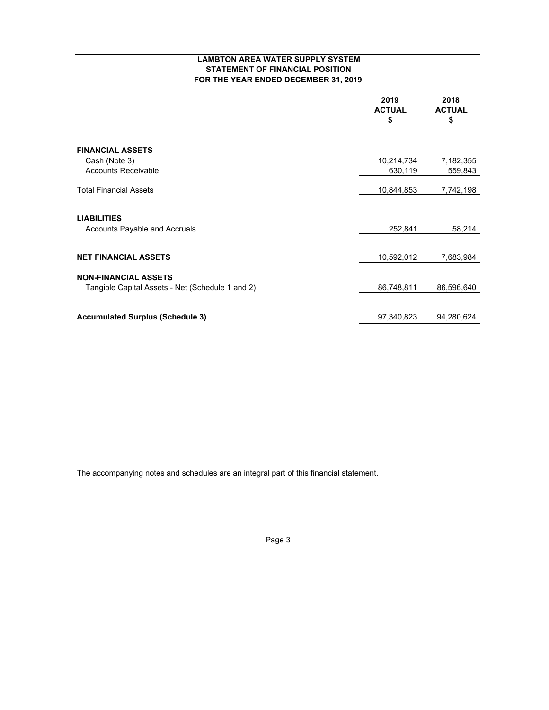#### **LAMBTON AREA WATER SUPPLY SYSTEM STATEMENT OF FINANCIAL POSITION FOR THE YEAR ENDED DECEMBER 31, 2019**

|                                                  | 2019<br><b>ACTUAL</b><br>\$ | 2018<br><b>ACTUAL</b><br>\$ |
|--------------------------------------------------|-----------------------------|-----------------------------|
|                                                  |                             |                             |
| <b>FINANCIAL ASSETS</b>                          |                             |                             |
| Cash (Note 3)                                    | 10,214,734                  | 7,182,355                   |
| <b>Accounts Receivable</b>                       | 630,119                     | 559,843                     |
|                                                  |                             |                             |
| <b>Total Financial Assets</b>                    | 10,844,853                  | 7,742,198                   |
|                                                  |                             |                             |
| <b>LIABILITIES</b>                               |                             |                             |
| Accounts Payable and Accruals                    | 252,841                     | 58,214                      |
|                                                  |                             |                             |
| <b>NET FINANCIAL ASSETS</b>                      |                             |                             |
|                                                  | 10,592,012                  | 7,683,984                   |
| <b>NON-FINANCIAL ASSETS</b>                      |                             |                             |
| Tangible Capital Assets - Net (Schedule 1 and 2) | 86,748,811                  | 86,596,640                  |
|                                                  |                             |                             |
|                                                  |                             |                             |
| <b>Accumulated Surplus (Schedule 3)</b>          | 97,340,823                  | 94,280,624                  |

The accompanying notes and schedules are an integral part of this financial statement.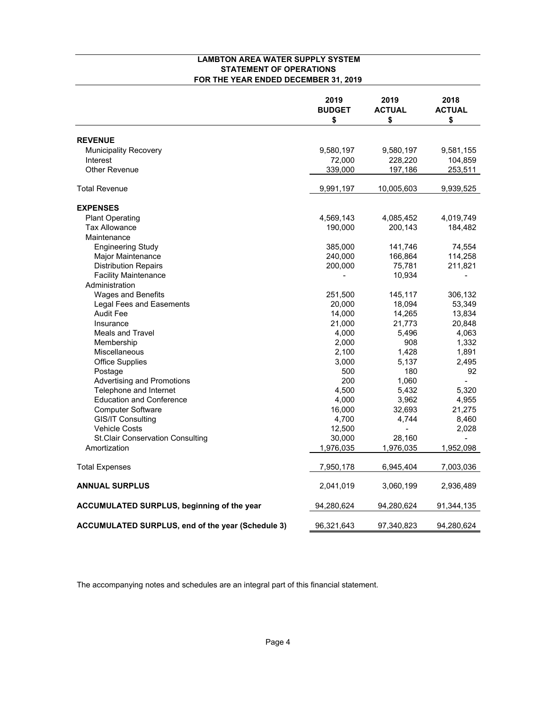#### **LAMBTON AREA WATER SUPPLY SYSTEM STATEMENT OF OPERATIONS FOR THE YEAR ENDED DECEMBER 31, 2019**

|                                                          | 2019<br><b>BUDGET</b><br>\$ | 2019<br><b>ACTUAL</b><br>\$ | 2018<br><b>ACTUAL</b><br>\$ |
|----------------------------------------------------------|-----------------------------|-----------------------------|-----------------------------|
| <b>REVENUE</b>                                           |                             |                             |                             |
| <b>Municipality Recovery</b>                             | 9,580,197                   | 9,580,197                   | 9,581,155                   |
| Interest                                                 | 72,000                      | 228,220                     | 104,859                     |
| <b>Other Revenue</b>                                     | 339,000                     | 197,186                     | 253,511                     |
| <b>Total Revenue</b>                                     | 9,991,197                   | 10,005,603                  | 9,939,525                   |
| <b>EXPENSES</b>                                          |                             |                             |                             |
| <b>Plant Operating</b>                                   | 4,569,143                   | 4,085,452                   | 4,019,749                   |
| <b>Tax Allowance</b>                                     | 190,000                     | 200,143                     | 184,482                     |
| Maintenance                                              |                             |                             |                             |
| <b>Engineering Study</b>                                 | 385,000                     | 141,746                     | 74,554                      |
| Major Maintenance                                        | 240,000                     | 166,864                     | 114,258                     |
| <b>Distribution Repairs</b>                              | 200,000                     | 75,781                      | 211,821                     |
| <b>Facility Maintenance</b>                              |                             | 10,934                      |                             |
| Administration                                           |                             |                             |                             |
| <b>Wages and Benefits</b>                                | 251,500                     | 145,117                     | 306,132                     |
| Legal Fees and Easements                                 | 20,000                      | 18,094                      | 53,349                      |
| <b>Audit Fee</b>                                         | 14,000                      | 14,265                      | 13,834                      |
| Insurance                                                | 21,000                      | 21,773                      | 20,848                      |
| <b>Meals and Travel</b>                                  | 4,000                       | 5,496                       | 4,063                       |
| Membership                                               | 2,000                       | 908                         | 1,332                       |
| <b>Miscellaneous</b>                                     | 2,100                       | 1,428                       | 1,891                       |
| <b>Office Supplies</b>                                   | 3,000                       | 5,137                       | 2,495                       |
| Postage                                                  | 500                         | 180                         | 92                          |
| Advertising and Promotions                               | 200                         | 1,060                       |                             |
| Telephone and Internet                                   | 4,500                       | 5,432                       | 5,320                       |
| <b>Education and Conference</b>                          | 4,000                       | 3,962                       | 4,955                       |
| <b>Computer Software</b>                                 | 16,000                      | 32,693                      | 21,275                      |
| <b>GIS/IT Consulting</b>                                 | 4,700                       | 4,744                       | 8,460                       |
| <b>Vehicle Costs</b>                                     | 12,500                      |                             | 2,028                       |
| <b>St.Clair Conservation Consulting</b>                  | 30,000                      | 28,160                      |                             |
| Amortization                                             | 1,976,035                   | 1,976,035                   | 1,952,098                   |
| <b>Total Expenses</b>                                    | 7,950,178                   | 6,945,404                   | 7,003,036                   |
| <b>ANNUAL SURPLUS</b>                                    | 2,041,019                   | 3,060,199                   | 2,936,489                   |
| <b>ACCUMULATED SURPLUS, beginning of the year</b>        | 94,280,624                  | 94,280,624                  | 91,344,135                  |
| <b>ACCUMULATED SURPLUS, end of the year (Schedule 3)</b> | 96,321,643                  | 97,340,823                  | 94,280,624                  |

The accompanying notes and schedules are an integral part of this financial statement.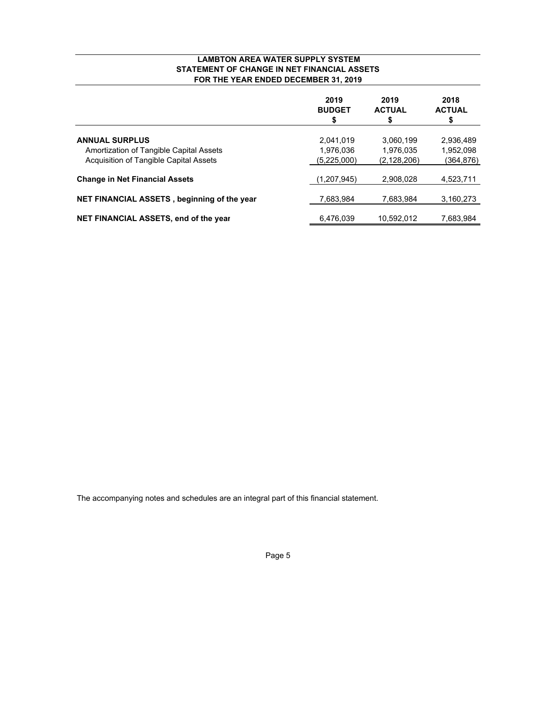#### **LAMBTON AREA WATER SUPPLY SYSTEM STATEMENT OF CHANGE IN NET FINANCIAL ASSETS FOR THE YEAR ENDED DECEMBER 31, 2019**

|                                                                                   | 2019<br><b>BUDGET</b><br>\$ | 2019<br><b>ACTUAL</b><br>\$ | 2018<br><b>ACTUAL</b>  |
|-----------------------------------------------------------------------------------|-----------------------------|-----------------------------|------------------------|
| <b>ANNUAL SURPLUS</b>                                                             | 2,041,019                   | 3,060,199                   | 2,936,489              |
| Amortization of Tangible Capital Assets<br>Acquisition of Tangible Capital Assets | 1.976.036<br>(5,225,000)    | 1,976,035<br>(2, 128, 206)  | 1,952,098<br>(364,876) |
| <b>Change in Net Financial Assets</b>                                             | (1,207,945)                 | 2,908,028                   | 4.523.711              |
| NET FINANCIAL ASSETS, beginning of the year                                       | 7,683,984                   | 7,683,984                   | 3,160,273              |
| NET FINANCIAL ASSETS, end of the year                                             | 6,476,039                   | 10.592.012                  | 7.683.984              |

The accompanying notes and schedules are an integral part of this financial statement.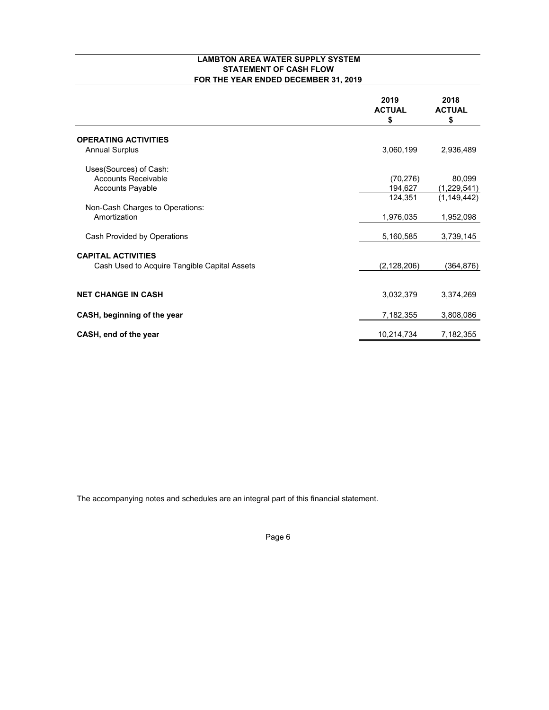#### **LAMBTON AREA WATER SUPPLY SYSTEM STATEMENT OF CASH FLOW FOR THE YEAR ENDED DECEMBER 31, 2019**

|                                              | 2019<br><b>ACTUAL</b><br>\$ | 2018<br><b>ACTUAL</b><br>\$ |
|----------------------------------------------|-----------------------------|-----------------------------|
| <b>OPERATING ACTIVITIES</b>                  |                             |                             |
| <b>Annual Surplus</b>                        | 3,060,199                   | 2,936,489                   |
| Uses(Sources) of Cash:                       |                             |                             |
| <b>Accounts Receivable</b>                   | (70, 276)                   | 80,099                      |
| <b>Accounts Payable</b>                      | 194,627                     | (1,229,541)                 |
|                                              | 124,351                     | (1, 149, 442)               |
| Non-Cash Charges to Operations:              |                             |                             |
| Amortization                                 | 1,976,035                   | 1,952,098                   |
|                                              |                             |                             |
| Cash Provided by Operations                  | 5,160,585                   | 3,739,145                   |
|                                              |                             |                             |
| <b>CAPITAL ACTIVITIES</b>                    |                             |                             |
| Cash Used to Acquire Tangible Capital Assets | (2, 128, 206)               | (364, 876)                  |
|                                              |                             |                             |
| <b>NET CHANGE IN CASH</b>                    | 3,032,379                   | 3,374,269                   |
|                                              |                             |                             |
| CASH, beginning of the year                  | 7,182,355                   | 3,808,086                   |
|                                              |                             |                             |
| CASH, end of the year                        | 10,214,734                  | 7,182,355                   |

The accompanying notes and schedules are an integral part of this financial statement.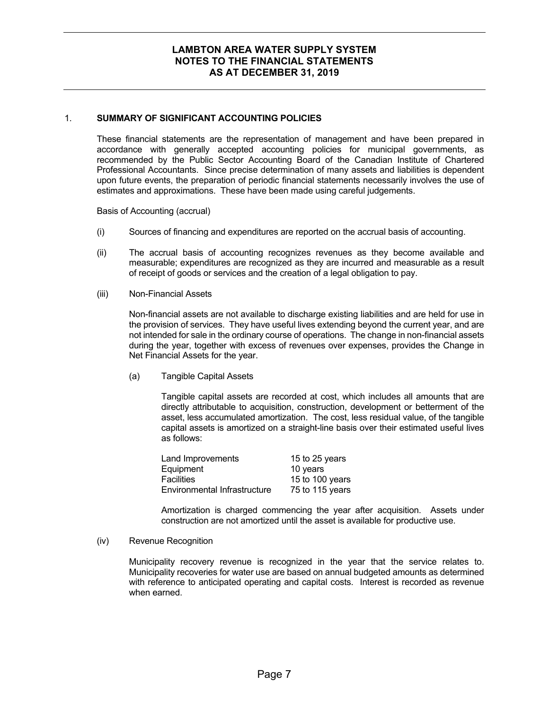### 1. **SUMMARY OF SIGNIFICANT ACCOUNTING POLICIES**

 These financial statements are the representation of management and have been prepared in accordance with generally accepted accounting policies for municipal governments, as recommended by the Public Sector Accounting Board of the Canadian Institute of Chartered Professional Accountants. Since precise determination of many assets and liabilities is dependent upon future events, the preparation of periodic financial statements necessarily involves the use of estimates and approximations. These have been made using careful judgements.

Basis of Accounting (accrual)

- (i) Sources of financing and expenditures are reported on the accrual basis of accounting.
- (ii) The accrual basis of accounting recognizes revenues as they become available and measurable; expenditures are recognized as they are incurred and measurable as a result of receipt of goods or services and the creation of a legal obligation to pay.
- (iii) Non-Financial Assets

Non-financial assets are not available to discharge existing liabilities and are held for use in the provision of services. They have useful lives extending beyond the current year, and are not intended for sale in the ordinary course of operations. The change in non-financial assets during the year, together with excess of revenues over expenses, provides the Change in Net Financial Assets for the year.

(a) Tangible Capital Assets

Tangible capital assets are recorded at cost, which includes all amounts that are directly attributable to acquisition, construction, development or betterment of the asset, less accumulated amortization. The cost, less residual value, of the tangible capital assets is amortized on a straight-line basis over their estimated useful lives as follows:

| Land Improvements            | 15 to 25 years  |
|------------------------------|-----------------|
| Equipment                    | 10 years        |
| <b>Facilities</b>            | 15 to 100 years |
| Environmental Infrastructure | 75 to 115 years |

Amortization is charged commencing the year after acquisition. Assets under construction are not amortized until the asset is available for productive use.

(iv) Revenue Recognition

Municipality recovery revenue is recognized in the year that the service relates to. Municipality recoveries for water use are based on annual budgeted amounts as determined with reference to anticipated operating and capital costs. Interest is recorded as revenue when earned.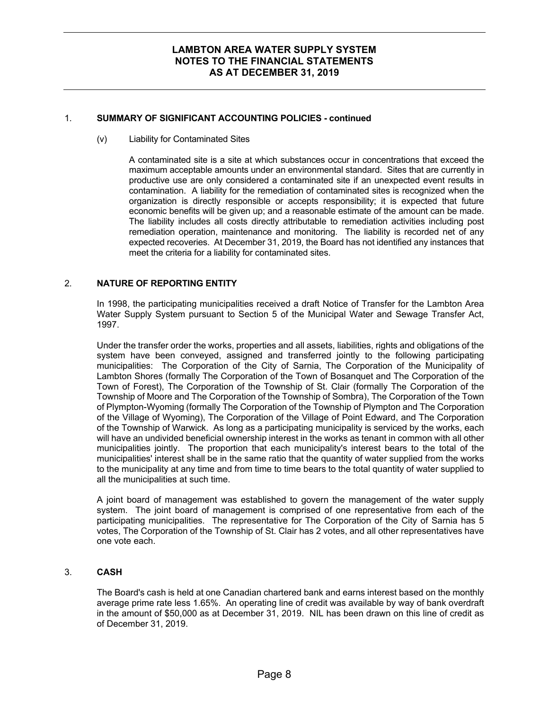## 1. **SUMMARY OF SIGNIFICANT ACCOUNTING POLICIES - continued**

#### (v) Liability for Contaminated Sites

A contaminated site is a site at which substances occur in concentrations that exceed the maximum acceptable amounts under an environmental standard. Sites that are currently in productive use are only considered a contaminated site if an unexpected event results in contamination. A liability for the remediation of contaminated sites is recognized when the organization is directly responsible or accepts responsibility; it is expected that future economic benefits will be given up; and a reasonable estimate of the amount can be made. The liability includes all costs directly attributable to remediation activities including post remediation operation, maintenance and monitoring. The liability is recorded net of any expected recoveries. At December 31, 2019, the Board has not identified any instances that meet the criteria for a liability for contaminated sites.

#### 2. **NATURE OF REPORTING ENTITY**

 In 1998, the participating municipalities received a draft Notice of Transfer for the Lambton Area Water Supply System pursuant to Section 5 of the Municipal Water and Sewage Transfer Act, 1997.

 Under the transfer order the works, properties and all assets, liabilities, rights and obligations of the system have been conveyed, assigned and transferred jointly to the following participating municipalities: The Corporation of the City of Sarnia, The Corporation of the Municipality of Lambton Shores (formally The Corporation of the Town of Bosanquet and The Corporation of the Town of Forest), The Corporation of the Township of St. Clair (formally The Corporation of the Township of Moore and The Corporation of the Township of Sombra), The Corporation of the Town of Plympton-Wyoming (formally The Corporation of the Township of Plympton and The Corporation of the Village of Wyoming), The Corporation of the Village of Point Edward, and The Corporation of the Township of Warwick. As long as a participating municipality is serviced by the works, each will have an undivided beneficial ownership interest in the works as tenant in common with all other municipalities jointly. The proportion that each municipality's interest bears to the total of the municipalities' interest shall be in the same ratio that the quantity of water supplied from the works to the municipality at any time and from time to time bears to the total quantity of water supplied to all the municipalities at such time.

 A joint board of management was established to govern the management of the water supply system. The joint board of management is comprised of one representative from each of the participating municipalities. The representative for The Corporation of the City of Sarnia has 5 votes, The Corporation of the Township of St. Clair has 2 votes, and all other representatives have one vote each.

## 3. **CASH**

 The Board's cash is held at one Canadian chartered bank and earns interest based on the monthly average prime rate less 1.65%. An operating line of credit was available by way of bank overdraft in the amount of \$50,000 as at December 31, 2019. NIL has been drawn on this line of credit as of December 31, 2019.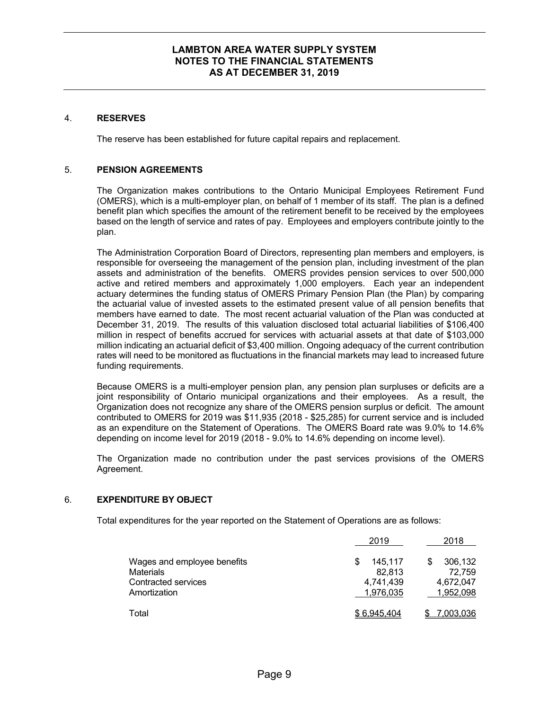#### 4. **RESERVES**

The reserve has been established for future capital repairs and replacement.

#### 5. **PENSION AGREEMENTS**

 The Organization makes contributions to the Ontario Municipal Employees Retirement Fund (OMERS), which is a multi-employer plan, on behalf of 1 member of its staff. The plan is a defined benefit plan which specifies the amount of the retirement benefit to be received by the employees based on the length of service and rates of pay. Employees and employers contribute jointly to the plan.

 The Administration Corporation Board of Directors, representing plan members and employers, is responsible for overseeing the management of the pension plan, including investment of the plan assets and administration of the benefits. OMERS provides pension services to over 500,000 active and retired members and approximately 1,000 employers. Each year an independent actuary determines the funding status of OMERS Primary Pension Plan (the Plan) by comparing the actuarial value of invested assets to the estimated present value of all pension benefits that members have earned to date. The most recent actuarial valuation of the Plan was conducted at December 31, 2019. The results of this valuation disclosed total actuarial liabilities of \$106,400 million in respect of benefits accrued for services with actuarial assets at that date of \$103,000 million indicating an actuarial deficit of \$3,400 million. Ongoing adequacy of the current contribution rates will need to be monitored as fluctuations in the financial markets may lead to increased future funding requirements.

 Because OMERS is a multi-employer pension plan, any pension plan surpluses or deficits are a joint responsibility of Ontario municipal organizations and their employees. As a result, the Organization does not recognize any share of the OMERS pension surplus or deficit. The amount contributed to OMERS for 2019 was \$11,935 (2018 - \$25,285) for current service and is included as an expenditure on the Statement of Operations. The OMERS Board rate was 9.0% to 14.6% depending on income level for 2019 (2018 - 9.0% to 14.6% depending on income level).

 The Organization made no contribution under the past services provisions of the OMERS Agreement.

#### 6. **EXPENDITURE BY OBJECT**

Total expenditures for the year reported on the Statement of Operations are as follows:

|                                                 | 2019                    | 2018                    |
|-------------------------------------------------|-------------------------|-------------------------|
| Wages and employee benefits<br><b>Materials</b> | 145,117<br>\$<br>82,813 | 306,132<br>\$<br>72,759 |
| Contracted services<br>Amortization             | 4,741,439<br>1,976,035  | 4,672,047<br>1,952,098  |
| Total                                           | \$6,945,404             | 7,003,036               |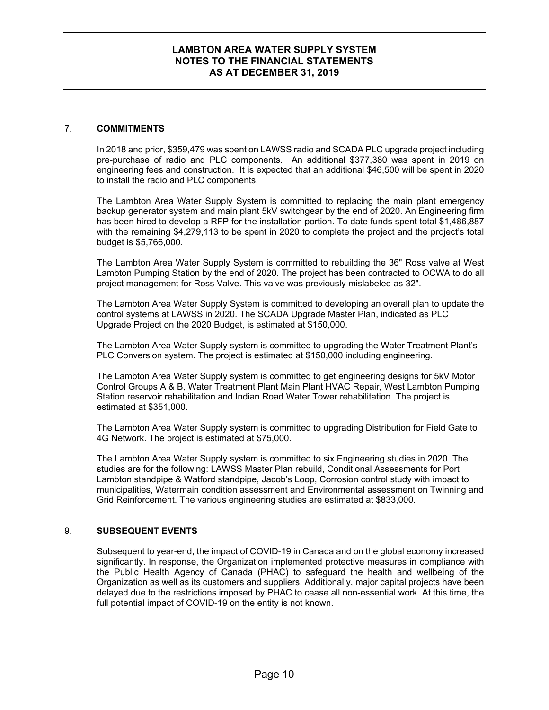#### 7. **COMMITMENTS**

 In 2018 and prior, \$359,479 was spent on LAWSS radio and SCADA PLC upgrade project including pre-purchase of radio and PLC components. An additional \$377,380 was spent in 2019 on engineering fees and construction. It is expected that an additional \$46,500 will be spent in 2020 to install the radio and PLC components.

 The Lambton Area Water Supply System is committed to replacing the main plant emergency backup generator system and main plant 5kV switchgear by the end of 2020. An Engineering firm has been hired to develop a RFP for the installation portion. To date funds spent total \$1,486,887 with the remaining \$4,279,113 to be spent in 2020 to complete the project and the project's total budget is \$5,766,000.

 The Lambton Area Water Supply System is committed to rebuilding the 36" Ross valve at West Lambton Pumping Station by the end of 2020. The project has been contracted to OCWA to do all project management for Ross Valve. This valve was previously mislabeled as 32".

 The Lambton Area Water Supply System is committed to developing an overall plan to update the control systems at LAWSS in 2020. The SCADA Upgrade Master Plan, indicated as PLC Upgrade Project on the 2020 Budget, is estimated at \$150,000.

The Lambton Area Water Supply system is committed to upgrading the Water Treatment Plant's PLC Conversion system. The project is estimated at \$150,000 including engineering.

The Lambton Area Water Supply system is committed to get engineering designs for 5kV Motor Control Groups A & B, Water Treatment Plant Main Plant HVAC Repair, West Lambton Pumping Station reservoir rehabilitation and Indian Road Water Tower rehabilitation. The project is estimated at \$351,000.

The Lambton Area Water Supply system is committed to upgrading Distribution for Field Gate to 4G Network. The project is estimated at \$75,000.

The Lambton Area Water Supply system is committed to six Engineering studies in 2020. The studies are for the following: LAWSS Master Plan rebuild, Conditional Assessments for Port Lambton standpipe & Watford standpipe, Jacob's Loop, Corrosion control study with impact to municipalities, Watermain condition assessment and Environmental assessment on Twinning and Grid Reinforcement. The various engineering studies are estimated at \$833,000.

#### 9. **SUBSEQUENT EVENTS**

 Subsequent to year-end, the impact of COVID-19 in Canada and on the global economy increased significantly. In response, the Organization implemented protective measures in compliance with the Public Health Agency of Canada (PHAC) to safeguard the health and wellbeing of the Organization as well as its customers and suppliers. Additionally, major capital projects have been delayed due to the restrictions imposed by PHAC to cease all non-essential work. At this time, the full potential impact of COVID-19 on the entity is not known.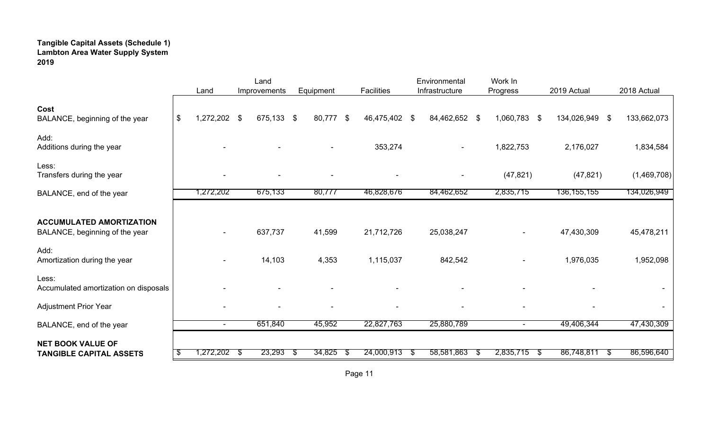# **Tangible Capital Assets (Schedule 1) Lambton Area Water Supply System 2019**

|                                                                           |                                           | Land         |              |                     | Environmental            | Work In        |                         |             |
|---------------------------------------------------------------------------|-------------------------------------------|--------------|--------------|---------------------|--------------------------|----------------|-------------------------|-------------|
|                                                                           | Land                                      | Improvements | Equipment    | <b>Facilities</b>   | Infrastructure           | Progress       | 2019 Actual             | 2018 Actual |
| Cost<br>BALANCE, beginning of the year                                    | $\boldsymbol{\mathsf{S}}$<br>1,272,202 \$ | 675,133      | 80,777<br>\$ | 46,475,402 \$<br>\$ | 84,462,652 \$            | 1,060,783      | 134,026,949<br>\$<br>\$ | 133,662,073 |
| Add:<br>Additions during the year                                         |                                           |              |              | 353,274             | $\overline{\phantom{a}}$ | 1,822,753      | 2,176,027               | 1,834,584   |
| Less:<br>Transfers during the year                                        |                                           |              |              |                     |                          | (47, 821)      | (47, 821)               | (1,469,708) |
| BALANCE, end of the year                                                  | 1,272,202                                 | 675,133      | 80,777       | 46,828,676          | 84,462,652               | 2,835,715      | 136,155,155             | 134,026,949 |
| <b>ACCUMULATED AMORTIZATION</b><br>BALANCE, beginning of the year<br>Add: |                                           | 637,737      | 41,599       | 21,712,726          | 25,038,247               |                | 47,430,309              | 45,478,211  |
| Amortization during the year                                              |                                           | 14,103       | 4,353        | 1,115,037           | 842,542                  |                | 1,976,035               | 1,952,098   |
| Less:<br>Accumulated amortization on disposals                            |                                           |              |              |                     |                          |                |                         |             |
| <b>Adjustment Prior Year</b>                                              |                                           |              |              |                     |                          |                |                         |             |
| BALANCE, end of the year                                                  | $\blacksquare$                            | 651,840      | 45,952       | 22,827,763          | 25,880,789               | $\blacksquare$ | 49,406,344              | 47,430,309  |
| <b>NET BOOK VALUE OF</b><br><b>TANGIBLE CAPITAL ASSETS</b>                | 1,272,202 \$                              | 23,293       | 34,825       | 24,000,913<br>৾ঌ    | 58,581,863               | $2,835,715$ \$ | 86,748,811<br>ა         | 86,596,640  |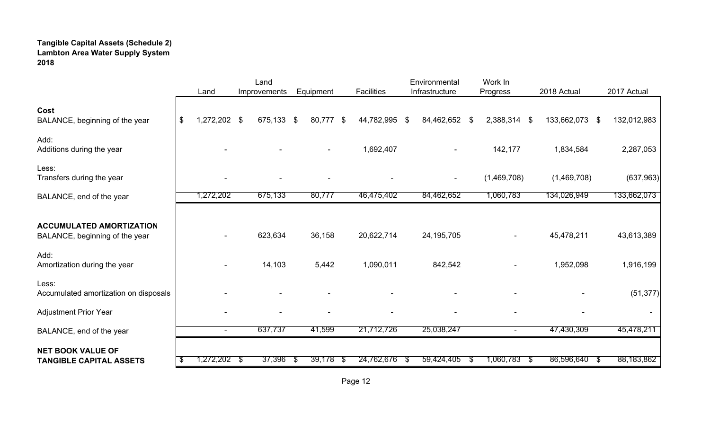# **Tangible Capital Assets (Schedule 2) Lambton Area Water Supply System 2018**

|                                                                   | Land               |   | Land<br>Improvements |    | Equipment | <b>Facilities</b> | Environmental<br>Infrastructure |    | Work In<br>Progress |    | 2018 Actual    |    | 2017 Actual |
|-------------------------------------------------------------------|--------------------|---|----------------------|----|-----------|-------------------|---------------------------------|----|---------------------|----|----------------|----|-------------|
| Cost<br>BALANCE, beginning of the year                            | \$<br>1,272,202 \$ |   | 675,133              | \$ | 80,777 \$ | 44,782,995        | \$<br>84,462,652                | S. | 2,388,314 \$        |    | 133,662,073 \$ |    | 132,012,983 |
| Add:<br>Additions during the year                                 |                    |   |                      |    |           | 1,692,407         |                                 |    | 142,177             |    | 1,834,584      |    | 2,287,053   |
| Less:<br>Transfers during the year                                |                    |   |                      |    |           |                   |                                 |    | (1,469,708)         |    | (1,469,708)    |    | (637, 963)  |
| BALANCE, end of the year                                          | 1,272,202          |   | 675,133              |    | 80,777    | 46,475,402        | 84,462,652                      |    | 1,060,783           |    | 134,026,949    |    | 133,662,073 |
| <b>ACCUMULATED AMORTIZATION</b><br>BALANCE, beginning of the year |                    |   | 623,634              |    | 36,158    | 20,622,714        | 24, 195, 705                    |    |                     |    | 45,478,211     |    | 43,613,389  |
| Add:<br>Amortization during the year                              |                    |   | 14,103               |    | 5,442     | 1,090,011         | 842,542                         |    |                     |    | 1,952,098      |    | 1,916,199   |
| Less:<br>Accumulated amortization on disposals                    |                    |   |                      |    |           |                   |                                 |    |                     |    |                |    | (51, 377)   |
| <b>Adjustment Prior Year</b>                                      |                    |   |                      |    |           |                   |                                 |    |                     |    |                |    |             |
| BALANCE, end of the year                                          |                    |   | 637,737              |    | 41,599    | 21,712,726        | 25,038,247                      |    |                     |    | 47,430,309     |    | 45,478,211  |
| <b>NET BOOK VALUE OF</b><br><b>TANGIBLE CAPITAL ASSETS</b>        | 1,272,202          | ъ | 37,396               | ৬  | 39,178    | 24,762,676        | 59,424,405                      |    | 1,060,783           | ্ঠ | 86,596,640     | აა | 88,183,862  |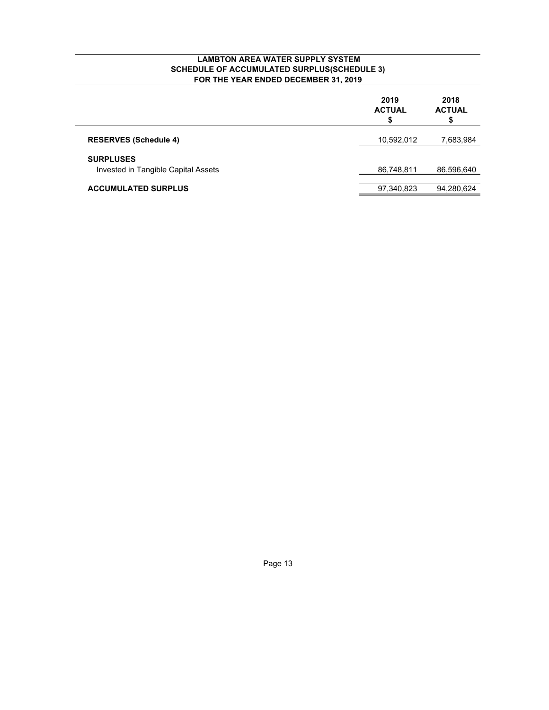#### **LAMBTON AREA WATER SUPPLY SYSTEM SCHEDULE OF ACCUMULATED SURPLUS(SCHEDULE 3) FOR THE YEAR ENDED DECEMBER 31, 2019**

|                                                         | 2019<br><b>ACTUAL</b> | 2018<br><b>ACTUAL</b> |
|---------------------------------------------------------|-----------------------|-----------------------|
| <b>RESERVES (Schedule 4)</b>                            | 10,592,012            | 7,683,984             |
| <b>SURPLUSES</b><br>Invested in Tangible Capital Assets | 86,748,811            | 86,596,640            |
| <b>ACCUMULATED SURPLUS</b>                              | 97,340,823            | 94,280,624            |